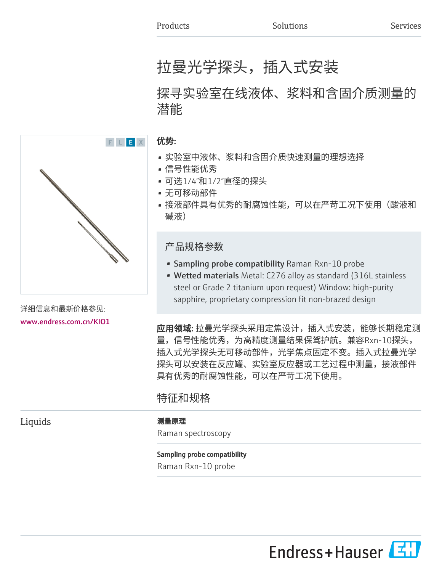# 拉曼光学探头,插入式安装

## 探寻实验室在线液体、浆料和含固介质测量的 潜能

### 优势:

- 实验室中液体、浆料和含固介质快速测量的理想选择
- 信号性能优秀
- 可选1/4"和1/2"直径的探头
- 无可移动部件
- 接液部件具有优秀的耐腐蚀性能,可以在严苛工况下使用(酸液和 碱液)

### 产品规格参数

- **Sampling probe compatibility Raman Rxn-10 probe**
- Wetted materials Metal: C276 alloy as standard (316L stainless steel or Grade 2 titanium upon request) Window: high-purity sapphire, proprietary compression fit non-brazed design

**应用领域:** 拉曼光学探头采用定焦设计,插入式安装,能够长期稳定测 量,信号性能优秀,为高精度测量结果保驾护航。兼容Rxn-10探头, 插入式光学探头无可移动部件,光学焦点固定不变。插入式拉曼光学 探头可以安装在反应罐、实验室反应器或工艺过程中测量,接液部件 具有优秀的耐腐蚀性能,可以在严苛工况下使用。

### 特征和规格

Liquids 2000 - 2000 - 2000 - 2000 - 2000 - 2000 - 2010 - 2010 - 2010 - 2010 - 2010 - 2010 - 2010 - 2010 - 2010

Raman spectroscopy

### Sampling probe compatibility

Raman Rxn-10 probe



详细信息和最新价格参见: [www.endress.com.cn/KIO1](https://www.endress.com.cn/KIO1)